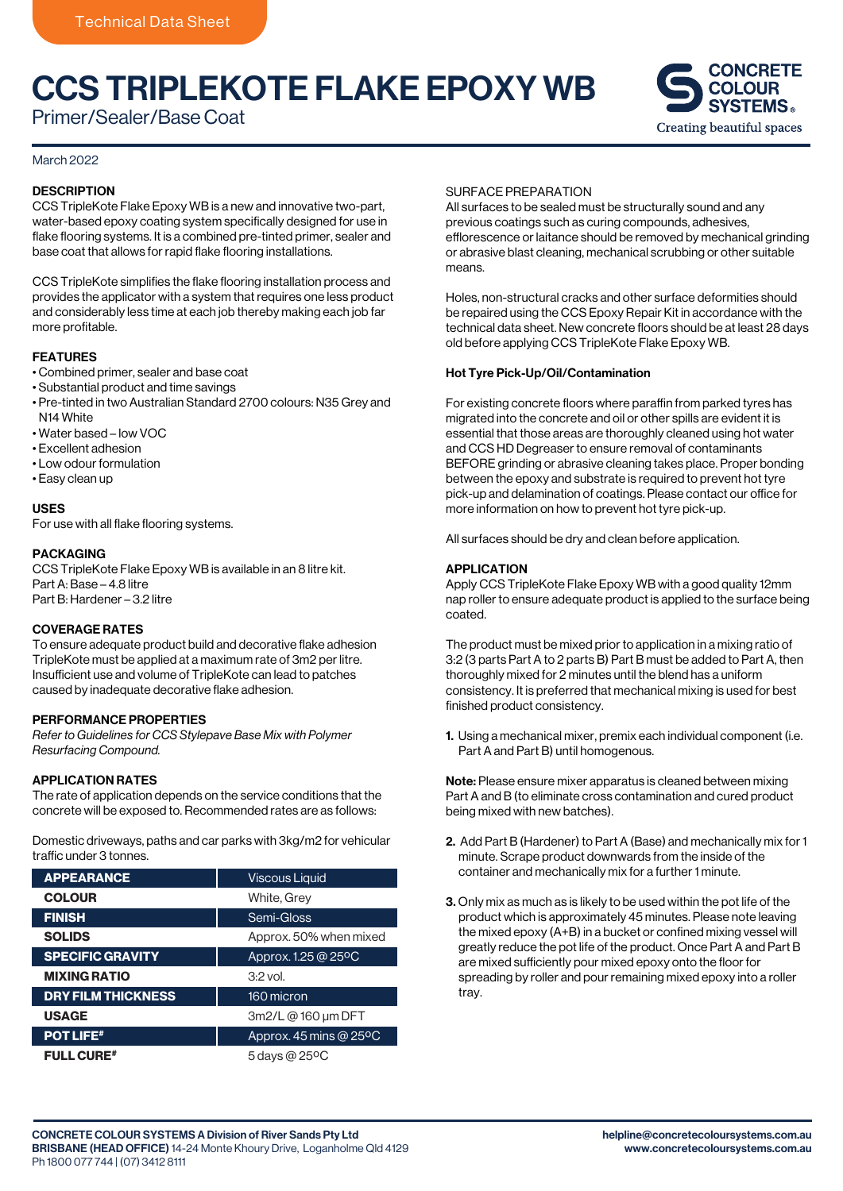# CCS TRIPLEKOTE FLAKE EPOXY WB

Primer/Sealer/Base Coat

#### March 2022

#### **DESCRIPTION**

CCS TripleKote Flake Epoxy WB is a new and innovative two-part, water-based epoxy coating system specifically designed for use in flake flooring systems. It is a combined pre-tinted primer, sealer and base coat that allows for rapid flake flooring installations.

CCS TripleKote simplifies the flake flooring installation process and provides the applicator with a system that requires one less product and considerably less time at each job thereby making each job far more profitable.

#### FEATURES

- Combined primer, sealer and base coat
- Substantial product and time savings
- Pre-tinted in two Australian Standard 2700 colours: N35 Grey and N<sub>14</sub> White
- Water based low VOC
- Excellent adhesion
- Low odour formulation
- Easy clean up

#### USES

For use with all flake flooring systems.

## PACKAGING

CCS TripleKote Flake Epoxy WB is available in an 8 litre kit. Part A: Base – 4.8 litre Part B: Hardener – 3.2 litre

## COVERAGE RATES

To ensure adequate product build and decorative flake adhesion TripleKote must be applied at a maximum rate of 3m2 per litre. Insufficient use and volume of TripleKote can lead to patches caused by inadequate decorative flake adhesion.

#### PERFORMANCE PROPERTIES

*Refer to Guidelines for CCS Stylepave Base Mix with Polymer Resurfacing Compound.*

### APPLICATION RATES

The rate of application depends on the service conditions that the concrete will be exposed to. Recommended rates are as follows:

Domestic driveways, paths and car parks with 3kg/m2 for vehicular traffic under 3 tonnes.

| <b>APPEARANCE</b>         | <b>Viscous Liquid</b>            |
|---------------------------|----------------------------------|
| <b>COLOUR</b>             | White, Grey                      |
| <b>FINISH</b>             | Semi-Gloss                       |
| <b>SOLIDS</b>             | Approx. 50% when mixed           |
| <b>SPECIFIC GRAVITY</b>   | Approx. 1.25 @ 25°C              |
| <b>MIXING RATIO</b>       | $3.2$ vol.                       |
| <b>DRY FILM THICKNESS</b> | 160 micron                       |
| <b>USAGE</b>              | 3m2/L @ 160 um DFT               |
| <b>POT LIFE#</b>          | Approx. 45 mins @ $25^{\circ}$ C |
| <b>FULL CURE#</b>         | 5 days @ 25°C                    |

#### SURFACE PREPARATION

All surfaces to be sealed must be structurally sound and any previous coatings such as curing compounds, adhesives, efflorescence or laitance should be removed by mechanical grinding or abrasive blast cleaning, mechanical scrubbing or other suitable means.

Holes, non-structural cracks and other surface deformities should be repaired using the CCS Epoxy Repair Kit in accordance with the technical data sheet. New concrete floors should be at least 28 days old before applying CCS TripleKote Flake Epoxy WB.

#### Hot Tyre Pick-Up/Oil/Contamination

For existing concrete floors where paraffin from parked tyres has migrated into the concrete and oil or other spills are evident it is essential that those areas are thoroughly cleaned using hot water and CCS HD Degreaser to ensure removal of contaminants BEFORE grinding or abrasive cleaning takes place. Proper bonding between the epoxy and substrate is required to prevent hot tyre pick-up and delamination of coatings. Please contact our office for more information on how to prevent hot tyre pick-up.

All surfaces should be dry and clean before application.

#### APPLICATION

Apply CCS TripleKote Flake Epoxy WB with a good quality 12mm nap roller to ensure adequate product is applied to the surface being coated.

The product must be mixed prior to application in a mixing ratio of 3:2 (3 parts Part A to 2 parts B) Part B must be added to Part A, then thoroughly mixed for 2 minutes until the blend has a uniform consistency. It is preferred that mechanical mixing is used for best finished product consistency.

1. Using a mechanical mixer, premix each individual component (i.e. Part A and Part B) until homogenous.

Note: Please ensure mixer apparatus is cleaned between mixing Part A and B (to eliminate cross contamination and cured product being mixed with new batches).

- 2. Add Part B (Hardener) to Part A (Base) and mechanically mix for 1 minute. Scrape product downwards from the inside of the container and mechanically mix for a further 1 minute.
- 3. Only mix as much as is likely to be used within the pot life of the product which is approximately 45 minutes. Please note leaving the mixed epoxy (A+B) in a bucket or confined mixing vessel will greatly reduce the pot life of the product. Once Part A and Part B are mixed sufficiently pour mixed epoxy onto the floor for spreading by roller and pour remaining mixed epoxy into a roller tray.